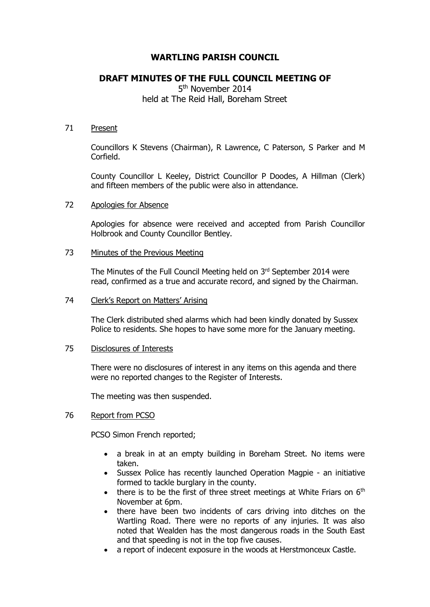# **WARTLING PARISH COUNCIL**

## **DRAFT MINUTES OF THE FULL COUNCIL MEETING OF**

5<sup>th</sup> November 2014 held at The Reid Hall, Boreham Street

#### 71 Present

Councillors K Stevens (Chairman), R Lawrence, C Paterson, S Parker and M Corfield.

County Councillor L Keeley, District Councillor P Doodes, A Hillman (Clerk) and fifteen members of the public were also in attendance.

#### 72 Apologies for Absence

Apologies for absence were received and accepted from Parish Councillor Holbrook and County Councillor Bentley.

### 73 Minutes of the Previous Meeting

The Minutes of the Full Council Meeting held on 3rd September 2014 were read, confirmed as a true and accurate record, and signed by the Chairman.

#### 74 Clerk's Report on Matters' Arising

The Clerk distributed shed alarms which had been kindly donated by Sussex Police to residents. She hopes to have some more for the January meeting.

#### 75 Disclosures of Interests

There were no disclosures of interest in any items on this agenda and there were no reported changes to the Register of Interests.

The meeting was then suspended.

### 76 Report from PCSO

PCSO Simon French reported;

- a break in at an empty building in Boreham Street. No items were taken.
- Sussex Police has recently launched Operation Magpie an initiative formed to tackle burglary in the county.
- there is to be the first of three street meetings at White Friars on  $6<sup>th</sup>$ November at 6pm.
- there have been two incidents of cars driving into ditches on the Wartling Road. There were no reports of any injuries. It was also noted that Wealden has the most dangerous roads in the South East and that speeding is not in the top five causes.
- a report of indecent exposure in the woods at Herstmonceux Castle.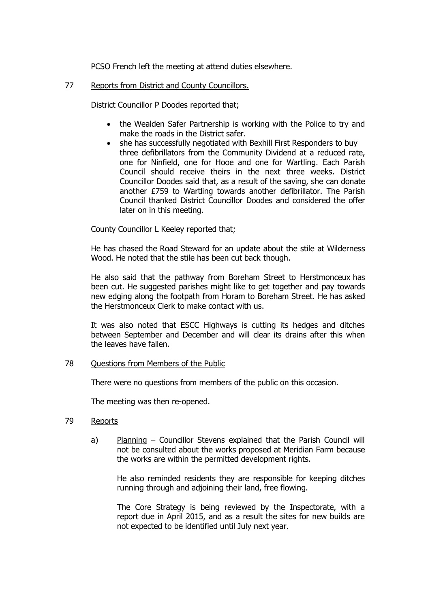PCSO French left the meeting at attend duties elsewhere.

## 77 Reports from District and County Councillors.

District Councillor P Doodes reported that;

- the Wealden Safer Partnership is working with the Police to try and make the roads in the District safer.
- she has successfully negotiated with Bexhill First Responders to buy three defibrillators from the Community Dividend at a reduced rate, one for Ninfield, one for Hooe and one for Wartling. Each Parish Council should receive theirs in the next three weeks. District Councillor Doodes said that, as a result of the saving, she can donate another £759 to Wartling towards another defibrillator. The Parish Council thanked District Councillor Doodes and considered the offer later on in this meeting.

County Councillor L Keeley reported that;

He has chased the Road Steward for an update about the stile at Wilderness Wood. He noted that the stile has been cut back though.

He also said that the pathway from Boreham Street to Herstmonceux has been cut. He suggested parishes might like to get together and pay towards new edging along the footpath from Horam to Boreham Street. He has asked the Herstmonceux Clerk to make contact with us.

It was also noted that ESCC Highways is cutting its hedges and ditches between September and December and will clear its drains after this when the leaves have fallen.

### 78 Questions from Members of the Public

There were no questions from members of the public on this occasion.

The meeting was then re-opened.

#### 79 Reports

a) Planning – Councillor Stevens explained that the Parish Council will not be consulted about the works proposed at Meridian Farm because the works are within the permitted development rights.

He also reminded residents they are responsible for keeping ditches running through and adjoining their land, free flowing.

The Core Strategy is being reviewed by the Inspectorate, with a report due in April 2015, and as a result the sites for new builds are not expected to be identified until July next year.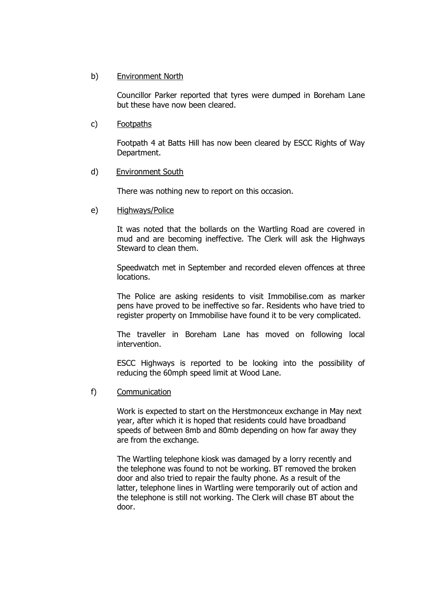#### b) Environment North

Councillor Parker reported that tyres were dumped in Boreham Lane but these have now been cleared.

#### c) Footpaths

Footpath 4 at Batts Hill has now been cleared by ESCC Rights of Way Department.

#### d) Environment South

There was nothing new to report on this occasion.

#### e) Highways/Police

It was noted that the bollards on the Wartling Road are covered in mud and are becoming ineffective. The Clerk will ask the Highways Steward to clean them.

Speedwatch met in September and recorded eleven offences at three locations.

The Police are asking residents to visit Immobilise.com as marker pens have proved to be ineffective so far. Residents who have tried to register property on Immobilise have found it to be very complicated.

The traveller in Boreham Lane has moved on following local intervention.

ESCC Highways is reported to be looking into the possibility of reducing the 60mph speed limit at Wood Lane.

#### f) Communication

Work is expected to start on the Herstmonceux exchange in May next year, after which it is hoped that residents could have broadband speeds of between 8mb and 80mb depending on how far away they are from the exchange.

The Wartling telephone kiosk was damaged by a lorry recently and the telephone was found to not be working. BT removed the broken door and also tried to repair the faulty phone. As a result of the latter, telephone lines in Wartling were temporarily out of action and the telephone is still not working. The Clerk will chase BT about the door.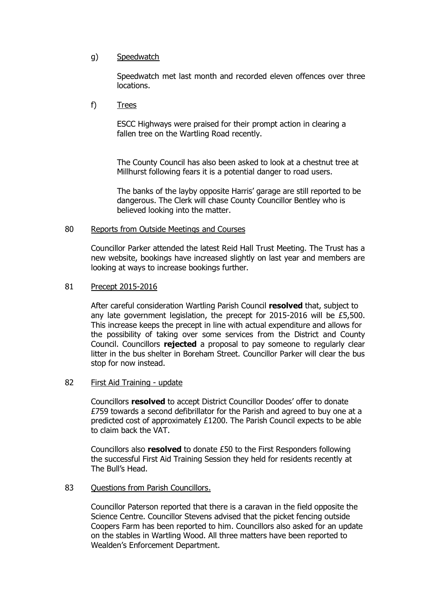## g) Speedwatch

Speedwatch met last month and recorded eleven offences over three locations.

f) Trees

ESCC Highways were praised for their prompt action in clearing a fallen tree on the Wartling Road recently.

The County Council has also been asked to look at a chestnut tree at Millhurst following fears it is a potential danger to road users.

The banks of the layby opposite Harris' garage are still reported to be dangerous. The Clerk will chase County Councillor Bentley who is believed looking into the matter.

#### 80 Reports from Outside Meetings and Courses

Councillor Parker attended the latest Reid Hall Trust Meeting. The Trust has a new website, bookings have increased slightly on last year and members are looking at ways to increase bookings further.

#### 81 Precept 2015-2016

After careful consideration Wartling Parish Council **resolved** that, subject to any late government legislation, the precept for 2015-2016 will be £5,500. This increase keeps the precept in line with actual expenditure and allows for the possibility of taking over some services from the District and County Council. Councillors **rejected** a proposal to pay someone to regularly clear litter in the bus shelter in Boreham Street. Councillor Parker will clear the bus stop for now instead.

### 82 First Aid Training - update

Councillors **resolved** to accept District Councillor Doodes' offer to donate £759 towards a second defibrillator for the Parish and agreed to buy one at a predicted cost of approximately £1200. The Parish Council expects to be able to claim back the VAT.

Councillors also **resolved** to donate £50 to the First Responders following the successful First Aid Training Session they held for residents recently at The Bull's Head.

### 83 Ouestions from Parish Councillors.

Councillor Paterson reported that there is a caravan in the field opposite the Science Centre. Councillor Stevens advised that the picket fencing outside Coopers Farm has been reported to him. Councillors also asked for an update on the stables in Wartling Wood. All three matters have been reported to Wealden's Enforcement Department.